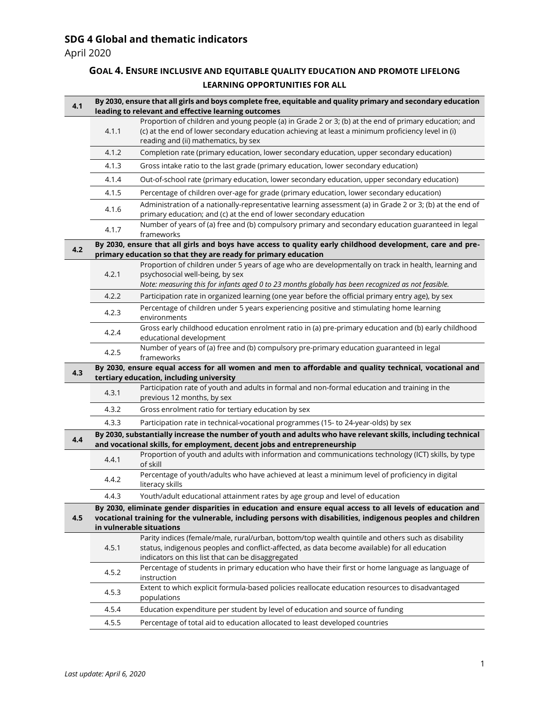## **SDG 4 Global and thematic indicators**

April 2020

## **GOAL 4. ENSURE INCLUSIVE AND EQUITABLE QUALITY EDUCATION AND PROMOTE LIFELONG LEARNING OPPORTUNITIES FOR ALL**

| 4.1 | By 2030, ensure that all girls and boys complete free, equitable and quality primary and secondary education<br>leading to relevant and effective learning outcomes |                                                                                                                                                                                                                                                    |  |
|-----|---------------------------------------------------------------------------------------------------------------------------------------------------------------------|----------------------------------------------------------------------------------------------------------------------------------------------------------------------------------------------------------------------------------------------------|--|
|     | 4.1.1                                                                                                                                                               | Proportion of children and young people (a) in Grade 2 or 3; (b) at the end of primary education; and<br>(c) at the end of lower secondary education achieving at least a minimum proficiency level in (i)<br>reading and (ii) mathematics, by sex |  |
|     | 4.1.2                                                                                                                                                               | Completion rate (primary education, lower secondary education, upper secondary education)                                                                                                                                                          |  |
|     | 4.1.3                                                                                                                                                               | Gross intake ratio to the last grade (primary education, lower secondary education)                                                                                                                                                                |  |
|     | 4.1.4                                                                                                                                                               | Out-of-school rate (primary education, lower secondary education, upper secondary education)                                                                                                                                                       |  |
|     | 4.1.5                                                                                                                                                               | Percentage of children over-age for grade (primary education, lower secondary education)                                                                                                                                                           |  |
|     | 4.1.6                                                                                                                                                               | Administration of a nationally-representative learning assessment (a) in Grade 2 or 3; (b) at the end of<br>primary education; and (c) at the end of lower secondary education                                                                     |  |
|     | 4.1.7                                                                                                                                                               | Number of years of (a) free and (b) compulsory primary and secondary education guaranteed in legal<br>frameworks                                                                                                                                   |  |
| 4.2 |                                                                                                                                                                     | By 2030, ensure that all girls and boys have access to quality early childhood development, care and pre-                                                                                                                                          |  |
|     |                                                                                                                                                                     | primary education so that they are ready for primary education<br>Proportion of children under 5 years of age who are developmentally on track in health, learning and                                                                             |  |
|     | 4.2.1                                                                                                                                                               | psychosocial well-being, by sex<br>Note: measuring this for infants aged 0 to 23 months globally has been recognized as not feasible.                                                                                                              |  |
|     | 4.2.2                                                                                                                                                               | Participation rate in organized learning (one year before the official primary entry age), by sex                                                                                                                                                  |  |
|     | 4.2.3                                                                                                                                                               | Percentage of children under 5 years experiencing positive and stimulating home learning<br>environments                                                                                                                                           |  |
|     | 4.2.4                                                                                                                                                               | Gross early childhood education enrolment ratio in (a) pre-primary education and (b) early childhood<br>educational development                                                                                                                    |  |
|     | 4.2.5                                                                                                                                                               | Number of years of (a) free and (b) compulsory pre-primary education guaranteed in legal<br>frameworks                                                                                                                                             |  |
|     | By 2030, ensure equal access for all women and men to affordable and quality technical, vocational and<br>tertiary education, including university                  |                                                                                                                                                                                                                                                    |  |
| 4.3 |                                                                                                                                                                     |                                                                                                                                                                                                                                                    |  |
|     | 4.3.1                                                                                                                                                               | Participation rate of youth and adults in formal and non-formal education and training in the<br>previous 12 months, by sex                                                                                                                        |  |
|     | 4.3.2                                                                                                                                                               | Gross enrolment ratio for tertiary education by sex                                                                                                                                                                                                |  |
|     | 4.3.3                                                                                                                                                               | Participation rate in technical-vocational programmes (15- to 24-year-olds) by sex                                                                                                                                                                 |  |
| 4.4 |                                                                                                                                                                     | By 2030, substantially increase the number of youth and adults who have relevant skills, including technical<br>and vocational skills, for employment, decent jobs and entrepreneurship                                                            |  |
|     | 4.4.1                                                                                                                                                               | Proportion of youth and adults with information and communications technology (ICT) skills, by type<br>of skill                                                                                                                                    |  |
|     | 4.4.2                                                                                                                                                               | Percentage of youth/adults who have achieved at least a minimum level of proficiency in digital<br>literacy skills                                                                                                                                 |  |
|     | 4.4.3                                                                                                                                                               | Youth/adult educational attainment rates by age group and level of education                                                                                                                                                                       |  |
|     |                                                                                                                                                                     | By 2030, eliminate gender disparities in education and ensure equal access to all levels of education and                                                                                                                                          |  |
| 4.5 |                                                                                                                                                                     | vocational training for the vulnerable, including persons with disabilities, indigenous peoples and children                                                                                                                                       |  |
|     |                                                                                                                                                                     | in vulnerable situations                                                                                                                                                                                                                           |  |
|     | 4.5.1                                                                                                                                                               | Parity indices (female/male, rural/urban, bottom/top wealth quintile and others such as disability<br>status, indigenous peoples and conflict-affected, as data become available) for all education                                                |  |
|     |                                                                                                                                                                     | indicators on this list that can be disaggregated                                                                                                                                                                                                  |  |
|     | 4.5.2                                                                                                                                                               | Percentage of students in primary education who have their first or home language as language of<br>instruction                                                                                                                                    |  |
|     | 4.5.3                                                                                                                                                               | Extent to which explicit formula-based policies reallocate education resources to disadvantaged<br>populations                                                                                                                                     |  |
|     | 4.5.4                                                                                                                                                               | Education expenditure per student by level of education and source of funding                                                                                                                                                                      |  |